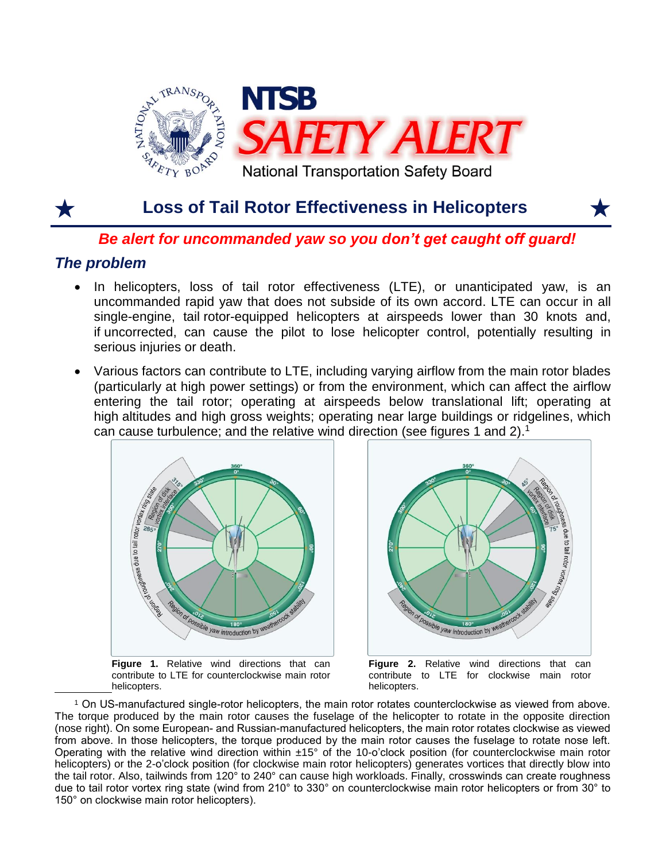

# **Loss of Tail Rotor Effectiveness in Helicopters**



### *Be alert for uncommanded yaw so you don't get caught off guard!*

## *The problem*

 $\overline{a}$ 

- In helicopters, loss of tail rotor effectiveness (LTE), or unanticipated yaw, is an uncommanded rapid yaw that does not subside of its own accord. LTE can occur in all single-engine, tail rotor-equipped helicopters at airspeeds lower than 30 knots and, if uncorrected, can cause the pilot to lose helicopter control, potentially resulting in serious injuries or death.
- Various factors can contribute to LTE, including varying airflow from the main rotor blades (particularly at high power settings) or from the environment, which can affect the airflow entering the tail rotor; operating at airspeeds below translational lift; operating at high altitudes and high gross weights; operating near large buildings or ridgelines, which can cause turbulence; and the relative wind direction (see figures 1 and 2). 1



**Figure 1.** Relative wind directions that can contribute to LTE for counterclockwise main rotor helicopters.



**Figure 2.** Relative wind directions that can contribute to LTE for clockwise main rotor helicopters.

<sup>1</sup> On US-manufactured single-rotor helicopters, the main rotor rotates counterclockwise as viewed from above. The torque produced by the main rotor causes the fuselage of the helicopter to rotate in the opposite direction (nose right). On some European- and Russian-manufactured helicopters, the main rotor rotates clockwise as viewed from above. In those helicopters, the torque produced by the main rotor causes the fuselage to rotate nose left. Operating with the relative wind direction within ±15° of the 10-o'clock position (for counterclockwise main rotor helicopters) or the 2-o'clock position (for clockwise main rotor helicopters) generates vortices that directly blow into the tail rotor. Also, tailwinds from 120° to 240° can cause high workloads. Finally, crosswinds can create roughness due to tail rotor vortex ring state (wind from 210° to 330° on counterclockwise main rotor helicopters or from 30° to 150° on clockwise main rotor helicopters).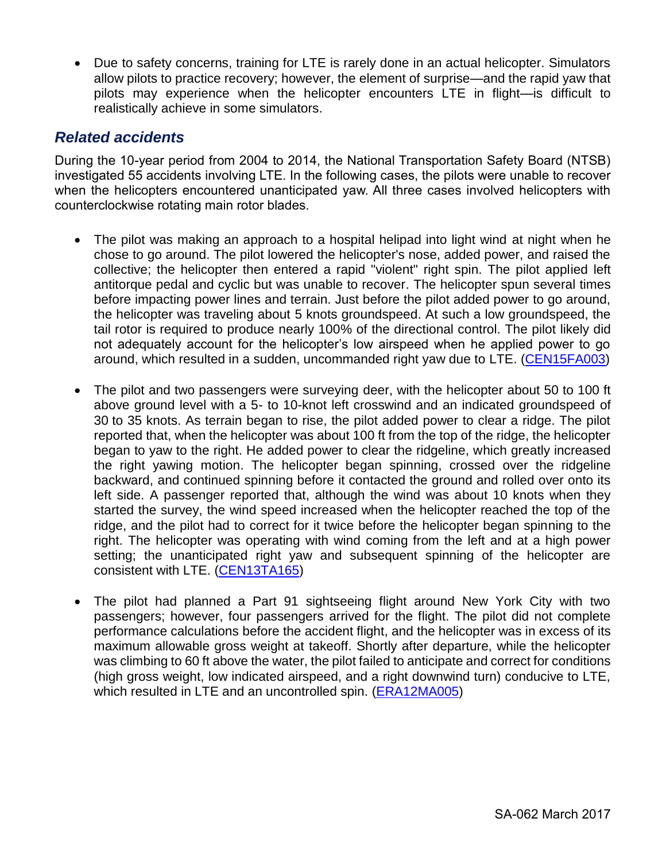• Due to safety concerns, training for LTE is rarely done in an actual helicopter. Simulators allow pilots to practice recovery; however, the element of surprise—and the rapid yaw that pilots may experience when the helicopter encounters LTE in flight—is difficult to realistically achieve in some simulators.

### *Related accidents*

During the 10-year period from 2004 to 2014, the National Transportation Safety Board (NTSB) investigated 55 accidents involving LTE. In the following cases, the pilots were unable to recover when the helicopters encountered unanticipated yaw. All three cases involved helicopters with counterclockwise rotating main rotor blades.

- The pilot was making an approach to a hospital helipad into light wind at night when he chose to go around. The pilot lowered the helicopter's nose, added power, and raised the collective; the helicopter then entered a rapid "violent" right spin. The pilot applied left antitorque pedal and cyclic but was unable to recover. The helicopter spun several times before impacting power lines and terrain. Just before the pilot added power to go around, the helicopter was traveling about 5 knots groundspeed. At such a low groundspeed, the tail rotor is required to produce nearly 100% of the directional control. The pilot likely did not adequately account for the helicopter's low airspeed when he applied power to go around, which resulted in a sudden, uncommanded right yaw due to LTE. [\(CEN15FA003\)](http://www.ntsb.gov/_layouts/ntsb.aviation/brief.aspx?ev_id=20141004X60516&key=1)
- The pilot and two passengers were surveying deer, with the helicopter about 50 to 100 ft above ground level with a 5- to 10-knot left crosswind and an indicated groundspeed of 30 to 35 knots. As terrain began to rise, the pilot added power to clear a ridge. The pilot reported that, when the helicopter was about 100 ft from the top of the ridge, the helicopter began to yaw to the right. He added power to clear the ridgeline, which greatly increased the right yawing motion. The helicopter began spinning, crossed over the ridgeline backward, and continued spinning before it contacted the ground and rolled over onto its left side. A passenger reported that, although the wind was about 10 knots when they started the survey, the wind speed increased when the helicopter reached the top of the ridge, and the pilot had to correct for it twice before the helicopter began spinning to the right. The helicopter was operating with wind coming from the left and at a high power setting; the unanticipated right yaw and subsequent spinning of the helicopter are consistent with LTE. [\(CEN13TA165\)](http://ntsb.gov/_layouts/ntsb.aviation/brief.aspx?ev_id=20130219X00240&key=1)
- The pilot had planned a Part 91 sightseeing flight around New York City with two passengers; however, four passengers arrived for the flight. The pilot did not complete performance calculations before the accident flight, and the helicopter was in excess of its maximum allowable gross weight at takeoff. Shortly after departure, while the helicopter was climbing to 60 ft above the water, the pilot failed to anticipate and correct for conditions (high gross weight, low indicated airspeed, and a right downwind turn) conducive to LTE, which resulted in LTE and an uncontrolled spin. [\(ERA12MA005\)](http://www.ntsb.gov/investigations/AccidentReports/_layouts/ntsb.aviation/brief.aspx?ev_id=20111004X71245&key=1)